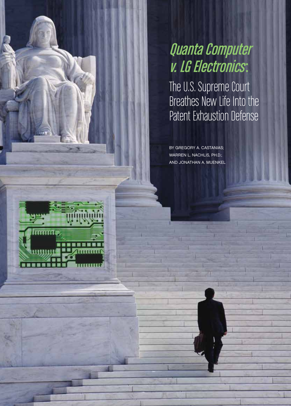# Quanta Computer v. LG Electronics:

The U.S. Supreme Court Breathes New Life Into the Patent Exhaustion Defense

By Gregory A. Castanias; WARREN L. NACHLIS, PH.D.; and Jonathan A. Muenkel

*TTTGTTTT*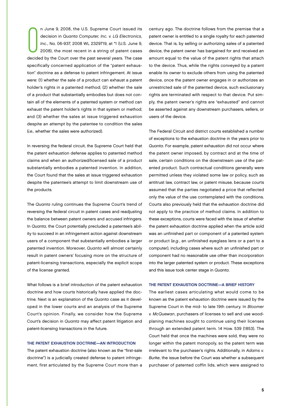n June 9, 2008, the U.S. Supreme Court issued its<br>decision in Quanta Computer, Inc. v. LG Electronics,<br>Inc., No. 06-937, 2008 WL 2329719, at \*1 (U.S. June 9,<br>2008), the most recent in a string of patent cases<br>decided by th n June 9, 2008, the U.S. Supreme Court issued its decision in Quanta Computer, Inc. v. LG Electronics, Inc., No. 06-937, 2008 WL 2329719, at \*1 (U.S. June 9, 2008), the most recent in a string of patent cases specifically concerned application of the "patent exhaustion" doctrine as a defense to patent infringement. At issue were: (1) whether the sale of a product can exhaust a patent holder's rights in a patented method; (2) whether the sale of a product that substantially embodies but does not contain all of the elements of a patented system or method can exhaust the patent holder's rights in that system or method; and (3) whether the sales at issue triggered exhaustion despite an attempt by the patentee to condition the sales (i.e., whether the sales were authorized).

In reversing the federal circuit, the Supreme Court held that the patent exhaustion defense applies to patented method claims and when an authorized/licensed sale of a product substantially embodies a patented invention. In addition, the Court found that the sales at issue triggered exhaustion despite the patentee's attempt to limit downstream use of the products.

The Quanta ruling continues the Supreme Court's trend of reversing the federal circuit in patent cases and readjusting the balance between patent owners and accused infringers. In Quanta, the Court potentially precluded a patentee's ability to succeed in an infringement action against downstream users of a component that substantially embodies a larger patented invention. Moreover, Quanta will almost certainly result in patent owners' focusing more on the structure of patent-licensing transactions, especially the explicit scope of the license granted.

What follows is a brief introduction of the patent exhaustion doctrine and how courts historically have applied the doctrine. Next is an explanation of the Quanta case as it developed in the lower courts and an analysis of the Supreme Court's opinion. Finally, we consider how the Supreme Court's decision in Quanta may affect patent litigation and patent-licensing transactions in the future.

## The Patent Exhaustion Doctrine—An Introduction

The patent exhaustion doctrine (also known as the "first-sale doctrine") is a judicially created defense to patent infringement, first articulated by the Supreme Court more than a

century ago. The doctrine follows from the premise that a patent owner is entitled to a single royalty for each patented device. That is, by selling or authorizing sales of a patented device, the patent owner has bargained for and received an amount equal to the value of the patent rights that attach to the device. Thus, while the rights conveyed by a patent enable its owner to exclude others from using the patented device, once the patent owner engages in or authorizes an unrestricted sale of the patented device, such exclusionary rights are terminated with respect to that device. Put simply, the patent owner's rights are "exhausted" and cannot be asserted against any downstream purchasers, sellers, or users of the device.

The Federal Circuit and district courts established a number of exceptions to the exhaustion doctrine in the years prior to Quanta. For example, patent exhaustion did not occur where the patent owner imposed, by contract and at the time of sale, certain conditions on the downstream use of the patented product. Such contractual conditions generally were permitted unless they violated some law or policy, such as antitrust law, contract law, or patent misuse, because courts assumed that the parties negotiated a price that reflected only the value of the use contemplated with the conditions. Courts also previously held that the exhaustion doctrine did not apply to the practice of method claims. In addition to these exceptions, courts were faced with the issue of whether the patent exhaustion doctrine applied when the article sold was an unfinished part or component of a patented system or product (e.g., an unfinished eyeglass lens or a part to a computer), including cases where such an unfinished part or component had no reasonable use other than incorporation into the larger patented system or product. These exceptions and this issue took center stage in Quanta.

## The Patent Exhaustion Doctrine—A Brief History

The earliest cases articulating what would come to be known as the patent exhaustion doctrine were issued by the Supreme Court in the mid- to late 19th century. In Bloomer v. McQuewan, purchasers of licenses to sell and use woodplaning machines sought to continue using their licenses through an extended patent term. 14 How. 539 (1853). The Court held that once the machines were sold, they were no longer within the patent monopoly, so the patent term was irrelevant to the purchaser's rights. Additionally, in Adams v. Burke, the issue before the Court was whether a subsequent purchaser of patented coffin lids, which were assigned to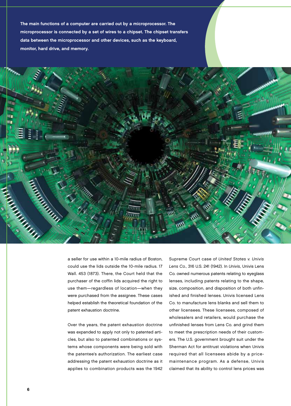The main functions of a computer are carried out by a microprocessor. The microprocessor is connected by a set of wires to a chipset. The chipset transfers data between the microprocessor and other devices, such as the keyboard, monitor, hard drive, and memory.



a seller for use within a 10-mile radius of Boston, could use the lids outside the 10-mile radius. 17 Wall. 453 (1873). There, the Court held that the purchaser of the coffin lids acquired the right to use them—regardless of location—when they were purchased from the assignee. These cases helped establish the theoretical foundation of the patent exhaustion doctrine.

Over the years, the patent exhaustion doctrine was expanded to apply not only to patented articles, but also to patented combinations or systems whose components were being sold with the patentee's authorization. The earliest case addressing the patent exhaustion doctrine as it applies to combination products was the 1942

Supreme Court case of United States v. Univis Lens Co., 316 U.S. 241 (1942). In Univis, Univis Lens Co. owned numerous patents relating to eyeglass lenses, including patents relating to the shape, size, composition, and disposition of both unfinished and finished lenses. Univis licensed Lens Co. to manufacture lens blanks and sell them to other licensees. These licensees, composed of wholesalers and retailers, would purchase the unfinished lenses from Lens Co. and grind them to meet the prescription needs of their customers. The U.S. government brought suit under the Sherman Act for antitrust violations when Univis required that all licensees abide by a pricemaintenance program. As a defense, Univis claimed that its ability to control lens prices was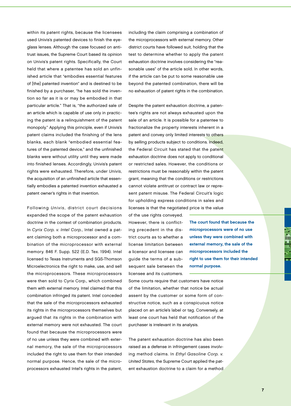within its patent rights, because the licensees used Univis's patented devices to finish the eyeglass lenses. Although the case focused on antitrust issues, the Supreme Court based its opinion on Univis's patent rights. Specifically, the Court held that where a patentee has sold an unfinished article that "embodies essential features of [the] patented invention" and is destined to be finished by a purchaser, "he has sold the invention so far as it is or may be embodied in that particular article." That is, "the authorized sale of an article which is capable of use only in practicing the patent is a relinquishment of the patent monopoly." Applying this principle, even if Univis's patent claims included the finishing of the lens blanks, each blank "embodied essential features of the patented device," and the unfinished blanks were without utility until they were made into finished lenses. Accordingly, Univis's patent rights were exhausted. Therefore, under Univis, the acquisition of an unfinished article that essentially embodies a patented invention exhausted a patent owner's rights in that invention.

Following Univis, district court decisions expanded the scope of the patent exhaustion doctrine in the context of combination products. In Cyrix Corp. v. Intel Corp., Intel owned a patent claiming both a microprocessor and a combination of the microprocessor with external memory. 846 F. Supp. 522 (E.D. Tex. 1994). Intel licensed to Texas Instruments and SGS-Thomson Microelectronics the right to make, use, and sell the microprocessors. These microprocessors were then sold to Cyrix Corp., which combined them with external memory. Intel claimed that this combination infringed its patent. Intel conceded that the sale of the microprocessors exhausted its rights in the microprocessors themselves but argued that its rights in the combination with external memory were not exhausted. The court found that because the microprocessors were of no use unless they were combined with external memory, the sale of the microprocessors included the right to use them for their intended normal purpose. Hence, the sale of the microprocessors exhausted Intel's rights in the patent,

including the claim comprising a combination of the microprocessors with external memory. Other district courts have followed suit, holding that the test to determine whether to apply the patent exhaustion doctrine involves considering the "reasonable uses" of the article sold. In other words, if the article can be put to some reasonable use beyond the patented combination, there will be no exhaustion of patent rights in the combination.

Despite the patent exhaustion doctrine, a patentee's rights are not always exhausted upon the sale of an article. It is possible for a patentee to fractionalize the property interests inherent in a patent and convey only limited interests to others by selling products subject to conditions. Indeed, the Federal Circuit has stated that the patent exhaustion doctrine does not apply to conditional or restricted sales. However, the conditions or restrictions must be reasonably within the patent grant, meaning that the conditions or restrictions cannot violate antitrust or contract law or represent patent misuse. The Federal Circuit's logic for upholding express conditions in sales and licenses is that the negotiated price is the value

of the use rights conveyed. However, there is conflicting precedent in the district courts as to whether a license limitation between a licensor and licensee can guide the terms of a subsequent sale between the licensee and its customers.

microprocessors were of no use unless they were combined with external memory, the sale of the microprocessors included the right to use them for their intended normal purpose.

The court found that because the

Some courts require that customers have notice of the limitation, whether that notice be actual assent by the customer or some form of constructive notice, such as a conspicuous notice placed on an article's label or tag. Conversely, at least one court has held that notification of the purchaser is irrelevant in its analysis.

The patent exhaustion doctrine has also been raised as a defense in infringement cases involving method claims. In Ethyl Gasoline Corp. v. United States, the Supreme Court applied the patent exhaustion doctrine to a claim for a method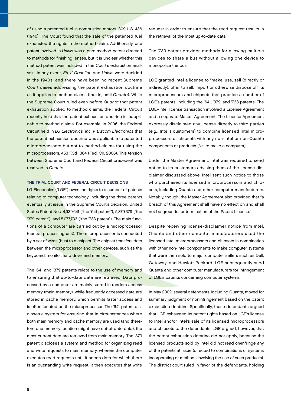of using a patented fuel in combustion motors. 309 U.S. 436 (1940). The Court found that the sale of the patented fuel exhausted the rights in the method claim. Additionally, one patent involved in Univis was a pure method patent directed to methods for finishing lenses, but it is unclear whether this method patent was included in the Court's exhaustion analysis. In any event, Ethyl Gasoline and Univis were decided in the 1940s, and there have been no recent Supreme Court cases addressing the patent exhaustion doctrine as it applies to method claims (that is, until Quanta). While the Supreme Court ruled even before Quanta that patent exhaustion applied to method claims, the Federal Circuit recently held that the patent exhaustion doctrine is inapplicable to method claims. For example, in 2006, the Federal Circuit held in LG Electronics, Inc. v. Bizcom Electronics that the patent exhaustion doctrine was applicable to patented microprocessors but not to method claims for using the microprocessors. 453 F.3d 1364 (Fed. Cir. 2006). This tension between Supreme Court and Federal Circuit precedent was resolved in Quanta.

## The Trial Court and Federal Circuit Decisions

LG Electronics ("LGE") owns the rights to a number of patents relating to computer technology, including the three patents eventually at issue in the Supreme Court's decision, United States Patent Nos. 4,939,641 ("the '641 patent"); 5,379,379 ("the '379 patent"); and 5,077,733 ("the '733 patent"). The main functions of a computer are carried out by a microprocessor (central processing unit). The microprocessor is connected by a set of wires (bus) to a chipset. The chipset transfers data between the microprocessor and other devices, such as the keyboard, monitor, hard drive, and memory.

The '641 and '379 patents relate to the use of memory and to ensuring that up-to-date data are retrieved. Data processed by a computer are mainly stored in random access memory (main memory), while frequently accessed data are stored in cache memory, which permits faster access and is often located on the microprocessor. The '641 patent discloses a system for ensuring that in circumstances where both main memory and cache memory are used (and therefore one memory location might have out-of-date data), the most current data are retrieved from main memory. The '379 patent discloses a system and method for organizing read and write requests to main memory, wherein the computer executes read requests until it needs data for which there is an outstanding write request. It then executes that write

request in order to ensure that the read request results in the retrieval of the most up-to-date data.

The '733 patent provides methods for allowing multiple devices to share a bus without allowing one device to monopolize the bus.

LGE granted Intel a license to "make, use, sell (directly or indirectly), offer to sell, import or otherwise dispose of" its microprocessors and chipsets that practice a number of LGE's patents, including the '641, '379, and '733 patents. The LGE–Intel license transaction involved a License Agreement and a separate Master Agreement. The License Agreement expressly disclaimed any license directly to third parties (e.g., Intel's customers) to combine licensed Intel microprocessors or chipsets with any non-Intel or non-Quanta components or products (i.e., to make a computer).

Under the Master Agreement, Intel was required to send notice to its customers advising them of the license disclaimer discussed above. Intel sent such notice to those who purchased its licensed microprocessors and chipsets, including Quanta and other computer manufacturers. Notably, though, the Master Agreement also provided that "a breach of this Agreement shall have no effect on and shall not be grounds for termination of the Patent License."

Despite receiving license-disclaimer notice from Intel, Quanta and other computer manufacturers used the licensed Intel microprocessors and chipsets in combination with other non-Intel components to make computer systems that were then sold to major computer sellers such as Dell, Gateway, and Hewlett-Packard. LGE subsequently sued Quanta and other computer manufacturers for infringement of LGE's patents concerning computer systems.

In May 2002, several defendants, including Quanta, moved for summary judgment of noninfringement based on the patent exhaustion doctrine. Specifically, those defendants argued that LGE exhausted its patent rights based on LGE's license to Intel and/or Intel's sale of its licensed microprocessors and chipsets to the defendants. LGE argued, however, that the patent exhaustion doctrine did not apply, because the licensed products sold by Intel did not read on/infringe any of the patents at issue (directed to combinations or systems incorporating or methods involving the use of such products). The district court ruled in favor of the defendants, holding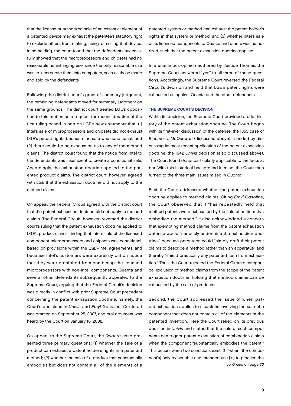that the license or authorized sale of an essential element of a patented device may exhaust the patentee's statutory right to exclude others from making, using, or selling that device. In so holding, the court found that the defendants successfully showed that the microprocessors and chipsets had no reasonable noninfringing use, since the only reasonable use was to incorporate them into computers, such as those made and sold by the defendants.

Following the district court's grant of summary judgment, the remaining defendants moved for summary judgment on the same grounds. The district court treated LGE's opposition to this motion as a request for reconsideration of the first ruling based in part on LGE's new arguments that: (1) Intel's sale of microprocessors and chipsets did not exhaust LGE's patent rights because the sale was conditional; and (2) there could be no exhaustion as to any of the method claims. The district court found that the notice from Intel to the defendants was insufficient to create a conditional sale. Accordingly, the exhaustion doctrine applied to the patented product claims. The district court, however, agreed with LGE that the exhaustion doctrine did not apply to the method claims.

On appeal, the Federal Circuit agreed with the district court that the patent exhaustion doctrine did not apply to method claims. The Federal Circuit, however, reversed the district court's ruling that the patent exhaustion doctrine applied to LGE's product claims, finding that Intel's sale of the licensed component microprocessors and chipsets was conditional, based on provisions within the LGE–Intel agreements, and because Intel's customers were expressly put on notice that they were prohibited from combining the licensed microprocessors with non-Intel components. Quanta and several other defendants subsequently appealed to the Supreme Court, arguing that the Federal Circuit's decision was directly in conflict with prior Supreme Court precedent concerning the patent exhaustion doctrine, namely, the Court's decisions in Univis and Ethyl Gasoline. Certiorari was granted on September 25, 2007, and oral argument was heard by the Court on January 16, 2008.

On appeal to the Supreme Court, the Quanta case presented three primary questions: (1) whether the sale of a product can exhaust a patent holder's rights in a patented method; (2) whether the sale of a product that substantially embodies but does not contain all of the elements of a

patented system or method can exhaust the patent holder's rights in that system or method; and (3) whether Intel's sale of its licensed components to Quanta and others was authorized, such that the patent exhaustion doctrine applied.

In a unanimous opinion authored by Justice Thomas, the Supreme Court answered "yes" to all three of these questions. Accordingly, the Supreme Court reversed the Federal Circuit's decision and held that LGE's patent rights were exhausted as against Quanta and the other defendants.

## THE SUPREME COURT'S DECISION

Within its decision, the Supreme Court provided a brief history of the patent exhaustion doctrine. The Court began with its first-ever discussion of the defense, the 1853 case of Bloomer v. McQuewan (discussed above). It ended by discussing its most recent application of the patent exhaustion doctrine, the 1942 Univis decision (also discussed above). The Court found Univis particularly applicable to the facts at bar. With this historical background in mind, the Court then turned to the three main issues raised in Quanta.

First, the Court addressed whether the patent exhaustion doctrine applies to method claims. Citing Ethyl Gasoline, the Court observed that it "has repeatedly held that method patents were exhausted by the sale of an item that embodied the method." It also acknowledged a concern that exempting method claims from the patent exhaustion defense would "seriously undermine the exhaustion doctrine," because patentees could "simply draft their patent claims to describe a method rather than an apparatus" and thereby "shield practically any patented item from exhaustion." Thus, the Court rejected the Federal Circuit's categorical exclusion of method claims from the scope of the patent exhaustion doctrine, holding that method claims can be exhausted by the sale of products.

Second, the Court addressed the issue of when patent exhaustion applies to situations involving the sale of a component that does not contain all of the elements of the patented invention. Here the Court relied on its previous decision in Univis and stated that the sale of such components can trigger patent exhaustion of combination claims when the component "substantially embodies the patent." This occurs when two conditions exist: (1) "when [the component's] only reasonable and intended use [is] to practice the continued on page 30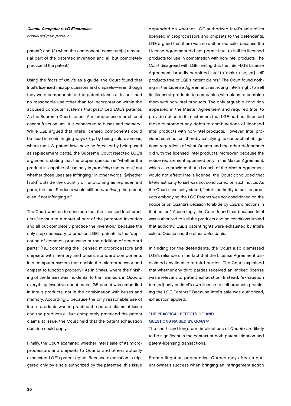## Quanta Computer v. LG Electronics

continued from page 9

patent"; and (2) when the component "constitute[s] a material part of the patented invention and all but completely practice[s] the patent."

Using the facts of Univis as a guide, the Court found that Intel's licensed microprocessors and chipsets—even though they were components of the patent claims at issue—had no reasonable use other than for incorporation within the accused computer systems that practiced LGE's patents. As the Supreme Court stated, "A microprocessor or chipset cannot function until it is connected to buses and memory." While LGE argued that Intel's licensed components could be used in noninfringing ways (e.g., by being sold overseas, where the U.S. patent laws have no force, or by being used as replacement parts), the Supreme Court rejected LGE's arguments, stating that the proper question is "whether the product is 'capable of use only in practicing the patent,' not whether those uses are infringing." In other words, "[w]hether [sold] outside the country or functioning as replacement parts, the Intel Products would still be practicing the patent, even if not infringing it."

The Court went on to conclude that the licensed Intel products "constitute a material part of the patented invention and all but completely practice the invention," because the only step necessary to practice LGE's patents is the "application of common processes or the addition of standard parts" (i.e., combining the licensed microprocessors and chipsets with memory and buses, standard components in a computer system that enable the microprocessor and chipset to function properly). As in Univis, where the finishing of the lenses was incidental to the invention, in Quanta, everything inventive about each LGE patent was embodied in Intel's products, not in the combination with buses and memory. Accordingly, because the only reasonable use of Intel's products was to practice the patent claims at issue and the products all but completely practiced the patent claims at issue, the Court held that the patent exhaustion doctrine could apply.

Finally, the Court examined whether Intel's sale of its microprocessors and chipsets to Quanta and others actually exhausted LGE's patent rights. Because exhaustion is triggered only by a sale authorized by the patentee, this issue

depended on whether LGE authorized Intel's sale of its licensed microprocessors and chipsets to the defendants. LGE argued that there was no authorized sale, because the License Agreement did not permit Intel to sell its licensed products for use in combination with non-Intel products. The Court disagreed with LGE, finding that the Intel–LGE License Agreement "broadly permitted Intel to 'make, use, [or] sell' products free of LGE's patent claims." The Court found nothing in the License Agreement restricting Intel's right to sell its licensed products to companies with plans to combine them with non-Intel products. The only arguable condition appeared in the Master Agreement and required Intel to provide notice to its customers that LGE had not licensed those customers any rights to combinations of licensed Intel products with non-Intel products. However, Intel provided such notice, thereby satisfying its contractual obligations regardless of what Quanta and the other defendants did with the licensed Intel products. Moreover, because the notice requirement appeared only in the Master Agreement, which also provided that a breach of the Master Agreement would not affect Intel's license, the Court concluded that Intel's authority to sell was not conditioned on such notice. As the Court succinctly stated, "Intel's authority to sell its products embodying the LGE Patents was not conditioned on the notice or on Quanta's decision to abide by LGE's directions in that notice." Accordingly, the Court found that because Intel was authorized to sell the products and no conditions limited that authority, LGE's patent rights were exhausted by Intel's sale to Quanta and the other defendants.

In finding for the defendants, the Court also dismissed LGE's reliance on the fact that the License Agreement disclaimed any license to third parties. The Court explained that whether any third parties received an implied license was irrelevant to patent exhaustion. Instead, "exhaustion turn[ed] only on Intel's own license to sell products practicing the LGE Patents." Because Intel's sale was authorized, exhaustion applied.

## The Practical Effects of, and Questions Raised by, Quanta

The short- and long-term implications of Quanta are likely to be significant in the context of both patent litigation and patent-licensing transactions.

From a litigation perspective, Quanta may affect a patent owner's success when bringing an infringement action